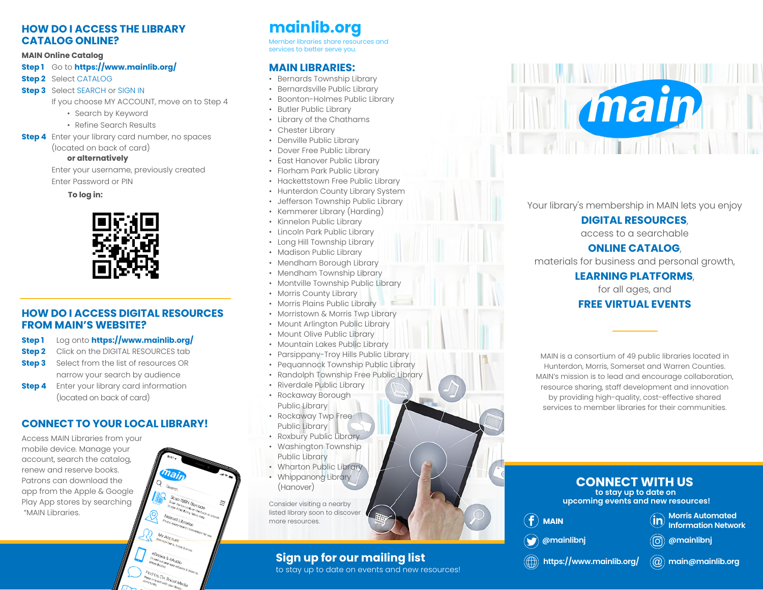#### **HOW DO I ACCESS THE LIBRARY CATALOG ONLINE?**

#### **MAIN Online Catalog**

#### **Step 1** Go to **https://www.mainlib.org/**

**Step 2** Select CATALOG

**Step 3** Select SEARCH or SIGN IN

If you choose MY ACCOUNT, move on to Step 4

- Search by Keyword
- Refine Search Results
- **Step 4** Enter your library card number, no spaces

(located on back of card)

#### **or alternatively**

 Enter your username, previously created Enter Password or PIN

 **To log in:**



#### **HOW DO I ACCESS DIGITAL RESOURCESFROM MAIN'S WEBSITE?**

- **Step 1** Log onto **https://www.mainlib.org/**
- **Step 2** Click on the DIGITAL RESOURCES tab
- **Step 3** Select from the list of resources OR narrow your search by audience
- **Step 4** Enter your library card information (located on back of card)

#### **CONNECT TO YOUR LOCAL LIBRARY!**

Access MAIN Libraries from your mobile device. Manage your account, search the catalog, renew and reserve books. Patrons can download the app from the Apple & Google Play App stores by searching "MAIN Libraries.



### **mainlib.org**

Member libraries share resources and services to better serve you.

#### **MAIN LIBRARIES:**

- Bernards Township Library
- Bernardsville Public Library
- Boonton-Holmes Public Library
- Butler Public Library
- Library of the Chathams
- Chester Library
- Denville Public Library
- Dover Free Public Library
- East Hanover Public Library
- Florham Park Public Library
- Hackettstown Free Public Library
- Hunterdon County Library System
- Jefferson Township Public Library
- Kemmerer Library (Harding)
- Kinnelon Public Library
- Lincoln Park Public Library
- Long Hill Township Library
- Madison Public Library
- Mendham Borough Library
- Mendham Township Library
- Montville Township Public Library
- Morris County Library
- Morris Plains Public Library
- Morristown & Morris Twp Library
- Mount Arlington Public Library
- Mount Olive Public Library
- Mountain Lakes Public Library
- Parsippany-Troy Hills Public Library
- Pequannock Township Public Library
- Randolph Township Free Public Library
- Riverdale Public Library
- Rockaway Borough Public Library
- Rockaway Twp Free Public Library
- Roxbury Public Library
- Washington Township Public Library
- Wharton Public Library • Whippanong Library
- (Hanover) Consider visiting a nearby listed library soon to discover

more resources.

### **Sign up for our mailing list**

to stay up to date on events and new resources!



Your library's membership in MAIN lets you enjoy

#### **DIGITAL RESOURCES**,

access to a searchable

#### **ONLINE CATALOG**,

materials for business and personal growth,

#### **LEARNING PLATFORMS**,

for all ages, and

#### **FREE VIRTUAL EVENTS**

MAIN is a consortium of 49 public libraries located in Hunterdon, Morris, Somerset and Warren Counties. MAIN's mission is to lead and encourage collaboration, resource sharing, staff development and innovation by providing high-quality, cost-effective shared services to member libraries for their communities.

### **CONNECT WITH US**

**to stay up to date on upcoming events and new resources!**

(ට)

**MAIN**

**Morris Automated**   $\widehat{\mathsf{in}}$ **Information Network**

**@mainlibnj**

# **@mainlibnj**